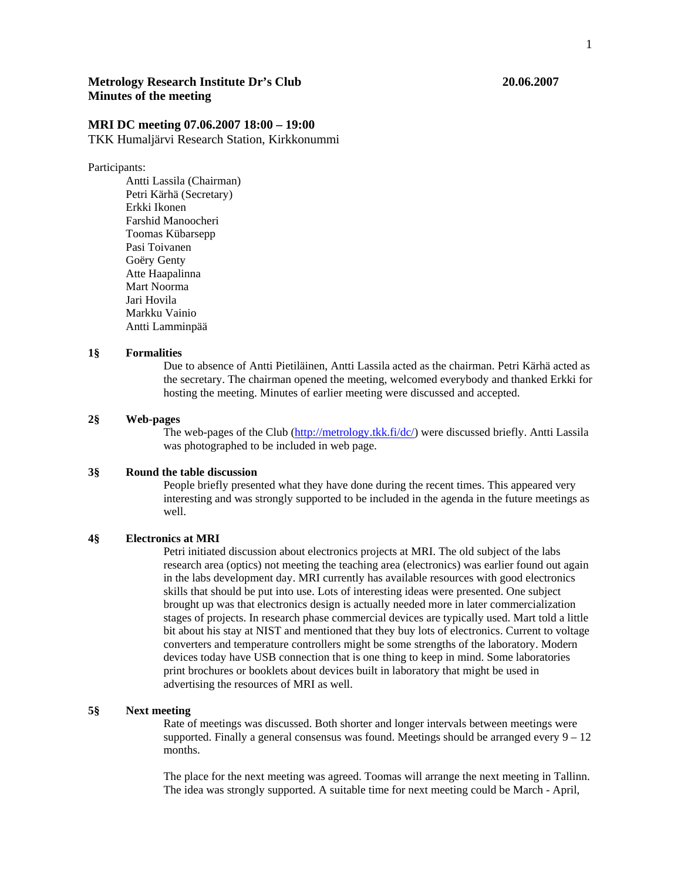# **Metrology Research Institute Dr's Club 20.06.2007 Minutes of the meeting**

# **MRI DC meeting 07.06.2007 18:00 – 19:00**

TKK Humaljärvi Research Station, Kirkkonummi

#### Participants:

 Antti Lassila (Chairman) Petri Kärhä (Secretary) Erkki Ikonen Farshid Manoocheri Toomas Kübarsepp Pasi Toivanen Goëry Genty Atte Haapalinna Mart Noorma Jari Hovila Markku Vainio Antti Lamminpää

### **1§ Formalities**

Due to absence of Antti Pietiläinen, Antti Lassila acted as the chairman. Petri Kärhä acted as the secretary. The chairman opened the meeting, welcomed everybody and thanked Erkki for hosting the meeting. Minutes of earlier meeting were discussed and accepted.

## **2§ Web-pages**

The web-pages of the Club (http://metrology.tkk.fi/dc/) were discussed briefly. Antti Lassila was photographed to be included in web page.

#### **3§ Round the table discussion**

People briefly presented what they have done during the recent times. This appeared very interesting and was strongly supported to be included in the agenda in the future meetings as well.

## **4§ Electronics at MRI**

Petri initiated discussion about electronics projects at MRI. The old subject of the labs research area (optics) not meeting the teaching area (electronics) was earlier found out again in the labs development day. MRI currently has available resources with good electronics skills that should be put into use. Lots of interesting ideas were presented. One subject brought up was that electronics design is actually needed more in later commercialization stages of projects. In research phase commercial devices are typically used. Mart told a little bit about his stay at NIST and mentioned that they buy lots of electronics. Current to voltage converters and temperature controllers might be some strengths of the laboratory. Modern devices today have USB connection that is one thing to keep in mind. Some laboratories print brochures or booklets about devices built in laboratory that might be used in advertising the resources of MRI as well.

## **5§ Next meeting**

Rate of meetings was discussed. Both shorter and longer intervals between meetings were supported. Finally a general consensus was found. Meetings should be arranged every  $9 - 12$ months.

The place for the next meeting was agreed. Toomas will arrange the next meeting in Tallinn. The idea was strongly supported. A suitable time for next meeting could be March - April,